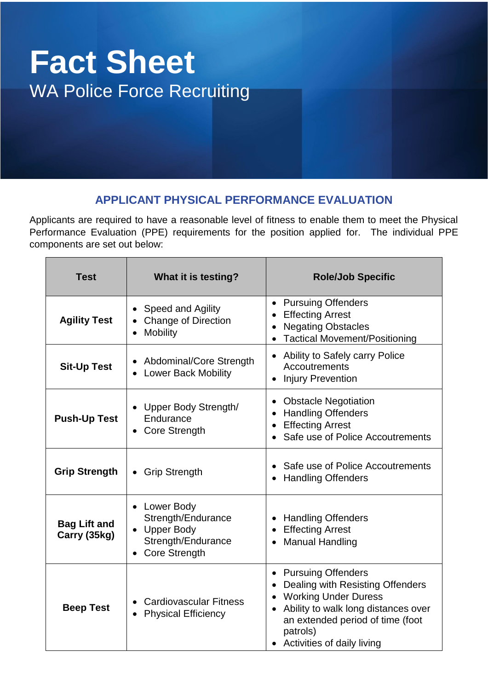# **Fact Sheet** WA Police Force Recruiting

# **APPLICANT PHYSICAL PERFORMANCE EVALUATION**

Applicants are required to have a reasonable level of fitness to enable them to meet the Physical Performance Evaluation (PPE) requirements for the position applied for. The individual PPE components are set out below:

| <b>Test</b>                         | What it is testing?                                                                                         | <b>Role/Job Specific</b>                                                                                                                                                                                                       |  |
|-------------------------------------|-------------------------------------------------------------------------------------------------------------|--------------------------------------------------------------------------------------------------------------------------------------------------------------------------------------------------------------------------------|--|
| <b>Agility Test</b>                 | Speed and Agility<br>$\bullet$<br><b>Change of Direction</b><br><b>Mobility</b>                             | <b>Pursuing Offenders</b><br>$\bullet$<br><b>Effecting Arrest</b><br><b>Negating Obstacles</b><br><b>Tactical Movement/Positioning</b>                                                                                         |  |
| <b>Sit-Up Test</b>                  | Abdominal/Core Strength<br><b>Lower Back Mobility</b>                                                       | • Ability to Safely carry Police<br>Accoutrements<br><b>Injury Prevention</b>                                                                                                                                                  |  |
| <b>Push-Up Test</b>                 | Upper Body Strength/<br>Endurance<br>• Core Strength                                                        | <b>Obstacle Negotiation</b><br><b>Handling Offenders</b><br><b>Effecting Arrest</b><br>Safe use of Police Accoutrements                                                                                                        |  |
| <b>Grip Strength</b>                | <b>Grip Strength</b><br>$\bullet$                                                                           | Safe use of Police Accoutrements<br><b>Handling Offenders</b>                                                                                                                                                                  |  |
| <b>Bag Lift and</b><br>Carry (35kg) | Lower Body<br>Strength/Endurance<br>• Upper Body<br>Strength/Endurance<br><b>Core Strength</b><br>$\bullet$ | <b>Handling Offenders</b><br><b>Effecting Arrest</b><br><b>Manual Handling</b>                                                                                                                                                 |  |
| <b>Beep Test</b>                    | <b>Cardiovascular Fitness</b><br><b>Physical Efficiency</b>                                                 | <b>Pursuing Offenders</b><br>$\bullet$<br>Dealing with Resisting Offenders<br><b>Working Under Duress</b><br>Ability to walk long distances over<br>an extended period of time (foot<br>patrols)<br>Activities of daily living |  |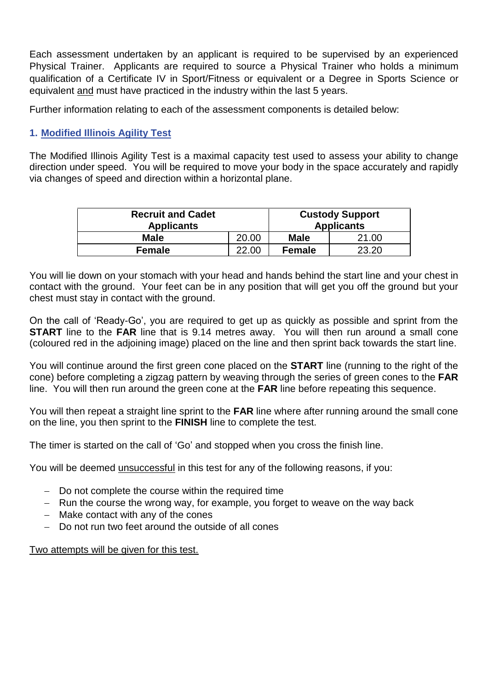Each assessment undertaken by an applicant is required to be supervised by an experienced Physical Trainer. Applicants are required to source a Physical Trainer who holds a minimum qualification of a Certificate IV in Sport/Fitness or equivalent or a Degree in Sports Science or equivalent and must have practiced in the industry within the last 5 years.

Further information relating to each of the assessment components is detailed below:

# **1. Modified Illinois Agility Test**

The Modified Illinois Agility Test is a maximal capacity test used to assess your ability to change direction under speed. You will be required to move your body in the space accurately and rapidly via changes of speed and direction within a horizontal plane.

| <b>Recruit and Cadet</b><br><b>Applicants</b> |       | <b>Custody Support</b><br><b>Applicants</b> |       |
|-----------------------------------------------|-------|---------------------------------------------|-------|
| <b>Male</b>                                   | 20.00 | <b>Male</b>                                 | 21.00 |
| <b>Female</b>                                 | 22.00 | <b>Female</b>                               | 23.20 |

You will lie down on your stomach with your head and hands behind the start line and your chest in contact with the ground. Your feet can be in any position that will get you off the ground but your chest must stay in contact with the ground.

On the call of 'Ready-Go', you are required to get up as quickly as possible and sprint from the **START** line to the **FAR** line that is 9.14 metres away. You will then run around a small cone (coloured red in the adjoining image) placed on the line and then sprint back towards the start line.

You will continue around the first green cone placed on the **START** line (running to the right of the cone) before completing a zigzag pattern by weaving through the series of green cones to the **FAR**  line. You will then run around the green cone at the **FAR** line before repeating this sequence.

You will then repeat a straight line sprint to the **FAR** line where after running around the small cone on the line, you then sprint to the **FINISH** line to complete the test.

The timer is started on the call of 'Go' and stopped when you cross the finish line.

You will be deemed unsuccessful in this test for any of the following reasons, if you:

- − Do not complete the course within the required time
- − Run the course the wrong way, for example, you forget to weave on the way back
- − Make contact with any of the cones
- − Do not run two feet around the outside of all cones

Two attempts will be given for this test.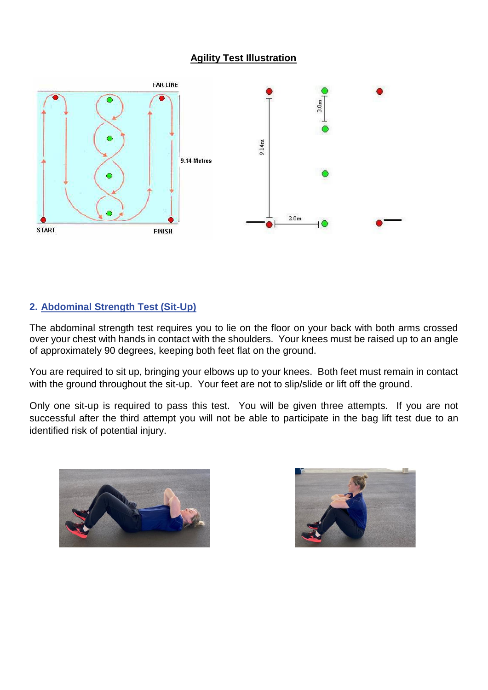#### **Agility Test Illustration**



#### **2. Abdominal Strength Test (Sit-Up)**

The abdominal strength test requires you to lie on the floor on your back with both arms crossed over your chest with hands in contact with the shoulders. Your knees must be raised up to an angle of approximately 90 degrees, keeping both feet flat on the ground.

You are required to sit up, bringing your elbows up to your knees. Both feet must remain in contact with the ground throughout the sit-up. Your feet are not to slip/slide or lift off the ground.

Only one sit-up is required to pass this test. You will be given three attempts. If you are not successful after the third attempt you will not be able to participate in the bag lift test due to an identified risk of potential injury.



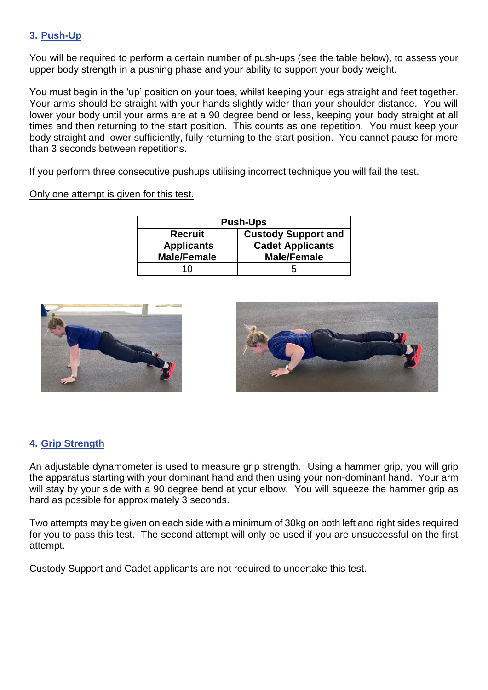## **3. Push-Up**

You will be required to perform a certain number of push-ups (see the table below), to assess your upper body strength in a pushing phase and your ability to support your body weight.

You must begin in the 'up' position on your toes, whilst keeping your legs straight and feet together. Your arms should be straight with your hands slightly wider than your shoulder distance. You will lower your body until your arms are at a 90 degree bend or less, keeping your body straight at all times and then returning to the start position. This counts as one repetition. You must keep your body straight and lower sufficiently, fully returning to the start position. You cannot pause for more than 3 seconds between repetitions.

If you perform three consecutive pushups utilising incorrect technique you will fail the test.

#### Only one attempt is given for this test.

| <b>Push-Ups</b>    |                            |  |  |  |
|--------------------|----------------------------|--|--|--|
| <b>Recruit</b>     | <b>Custody Support and</b> |  |  |  |
| <b>Applicants</b>  | <b>Cadet Applicants</b>    |  |  |  |
| <b>Male/Female</b> | <b>Male/Female</b>         |  |  |  |
| 10                 | ņ                          |  |  |  |





## **4. Grip Strength**

An adjustable dynamometer is used to measure grip strength. Using a hammer grip, you will grip the apparatus starting with your dominant hand and then using your non-dominant hand. Your arm will stay by your side with a 90 degree bend at your elbow. You will squeeze the hammer grip as hard as possible for approximately 3 seconds.

Two attempts may be given on each side with a minimum of 30kg on both left and right sides required for you to pass this test. The second attempt will only be used if you are unsuccessful on the first attempt.

Custody Support and Cadet applicants are not required to undertake this test.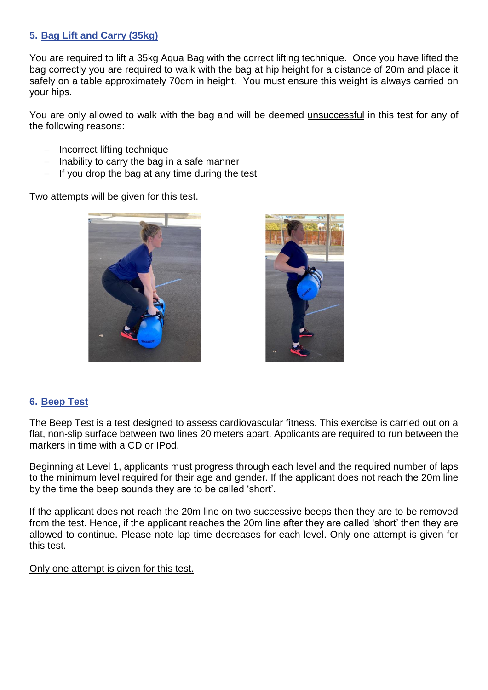## **5. Bag Lift and Carry (35kg)**

You are required to lift a 35kg Aqua Bag with the correct lifting technique. Once you have lifted the bag correctly you are required to walk with the bag at hip height for a distance of 20m and place it safely on a table approximately 70cm in height. You must ensure this weight is always carried on your hips.

You are only allowed to walk with the bag and will be deemed unsuccessful in this test for any of the following reasons:

- − Incorrect lifting technique
- − Inability to carry the bag in a safe manner
- − If you drop the bag at any time during the test

Two attempts will be given for this test.





#### **6. Beep Test**

The Beep Test is a test designed to assess cardiovascular fitness. This exercise is carried out on a flat, non-slip surface between two lines 20 meters apart. Applicants are required to run between the markers in time with a CD or IPod.

Beginning at Level 1, applicants must progress through each level and the required number of laps to the minimum level required for their age and gender. If the applicant does not reach the 20m line by the time the beep sounds they are to be called 'short'.

If the applicant does not reach the 20m line on two successive beeps then they are to be removed from the test. Hence, if the applicant reaches the 20m line after they are called 'short' then they are allowed to continue. Please note lap time decreases for each level. Only one attempt is given for this test.

#### Only one attempt is given for this test.